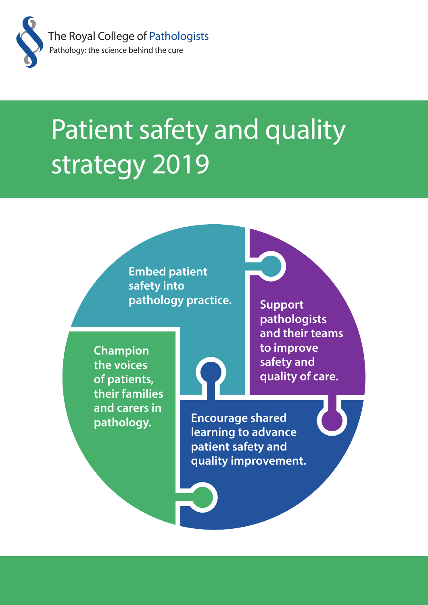

# Patient safety and quality strategy 2019

**Embed patient safety into pathology practice.**

**Support pathologists and their teams to improve safety and quality of care.**

**Champion the voices of patients, their families and carers in pathology.**

**Encourage shared learning to advance patient safety and quality improvement.**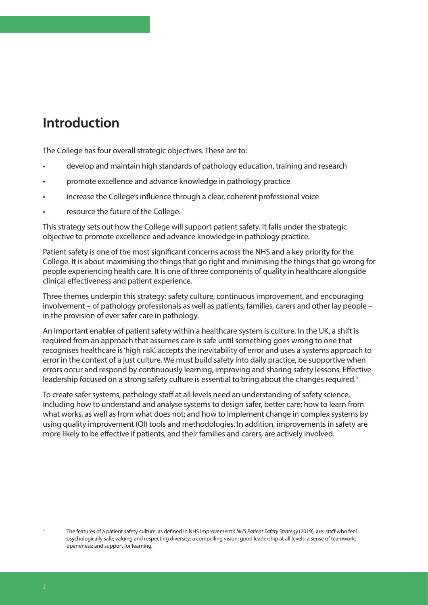# **Introduction**

The College has four overall strategic objectives. These are to:

- develop and maintain high standards of pathology education, training and research
- promote excellence and advance knowledge in pathology practice
- increase the College's influence through a clear, coherent professional voice
- resource the future of the College.

This strategy sets out how the College will support patient safety. It falls under the strategic objective to promote excellence and advance knowledge in pathology practice.

Patient safety is one of the most significant concerns across the NHS and a key priority for the College. It is about maximising the things that go right and minimising the things that go wrong for people experiencing health care. It is one of three components of quality in healthcare alongside clinical effectiveness and patient experience.

Three themes underpin this strategy: safety culture, continuous improvement, and encouraging involvement – of pathology professionals as well as patients, families, carers and other lay people – in the provision of ever safer care in pathology.

An important enabler of patient safety within a healthcare system is culture. In the UK, a shift is required from an approach that assumes care is safe until something goes wrong to one that recognises healthcare is 'high risk', accepts the inevitability of error and uses a systems approach to error in the context of a just culture. We must build safety into daily practice, be supportive when errors occur and respond by continuously learning, improving and sharing safety lessons. Effective leadership focused on a strong safety culture is essential to bring about the changes required.\*

To create safer systems, pathology staff at all levels need an understanding of safety science, including how to understand and analyse systems to design safer, better care; how to learn from what works, as well as from what does not; and how to implement change in complex systems by using quality improvement (QI) tools and methodologies. In addition, improvements in safety are more likely to be effective if patients, and their families and carers, are actively involved.

<sup>\*</sup> The features of a patient safety culture, as defined in NHS Improvement's *NHS Patient Safety Strategy* (2019), are: staff who feel psychologically safe; valuing and respecting diversity; a compelling vision; good leadership at all levels; a sense of teamwork; openeness; and support for learning.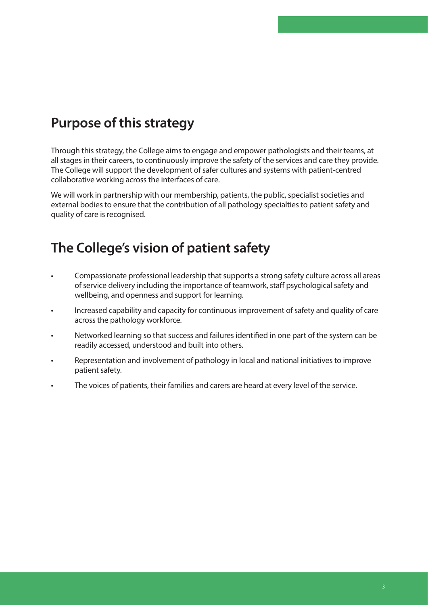# **Purpose of this strategy**

Through this strategy, the College aims to engage and empower pathologists and their teams, at all stages in their careers, to continuously improve the safety of the services and care they provide. The College will support the development of safer cultures and systems with patient-centred collaborative working across the interfaces of care.

We will work in partnership with our membership, patients, the public, specialist societies and external bodies to ensure that the contribution of all pathology specialties to patient safety and quality of care is recognised.

# **The College's vision of patient safety**

- Compassionate professional leadership that supports a strong safety culture across all areas of service delivery including the importance of teamwork, staff psychological safety and wellbeing, and openness and support for learning.
- Increased capability and capacity for continuous improvement of safety and quality of care across the pathology workforce.
- Networked learning so that success and failures identified in one part of the system can be readily accessed, understood and built into others.
- Representation and involvement of pathology in local and national initiatives to improve patient safety.
- The voices of patients, their families and carers are heard at every level of the service.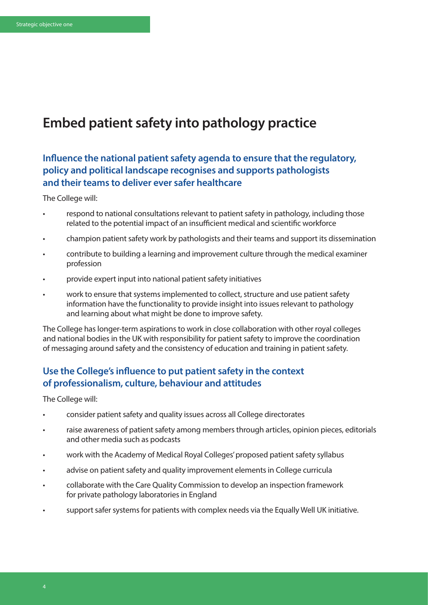## **Embed patient safety into pathology practice**

## **Influence the national patient safety agenda to ensure that the regulatory, policy and political landscape recognises and supports pathologists and their teams to deliver ever safer healthcare**

The College will:

- respond to national consultations relevant to patient safety in pathology, including those related to the potential impact of an insufficient medical and scientific workforce
- champion patient safety work by pathologists and their teams and support its dissemination
- contribute to building a learning and improvement culture through the medical examiner profession
- provide expert input into national patient safety initiatives
- work to ensure that systems implemented to collect, structure and use patient safety information have the functionality to provide insight into issues relevant to pathology and learning about what might be done to improve safety.

The College has longer-term aspirations to work in close collaboration with other royal colleges and national bodies in the UK with responsibility for patient safety to improve the coordination of messaging around safety and the consistency of education and training in patient safety.

## **Use the College's influence to put patient safety in the context of professionalism, culture, behaviour and attitudes**

The College will:

- consider patient safety and quality issues across all College directorates
- raise awareness of patient safety among members through articles, opinion pieces, editorials and other media such as podcasts
- work with the Academy of Medical Royal Colleges' proposed patient safety syllabus
- advise on patient safety and quality improvement elements in College curricula
- collaborate with the Care Quality Commission to develop an inspection framework for private pathology laboratories in England
- support safer systems for patients with complex needs via the Equally Well UK initiative.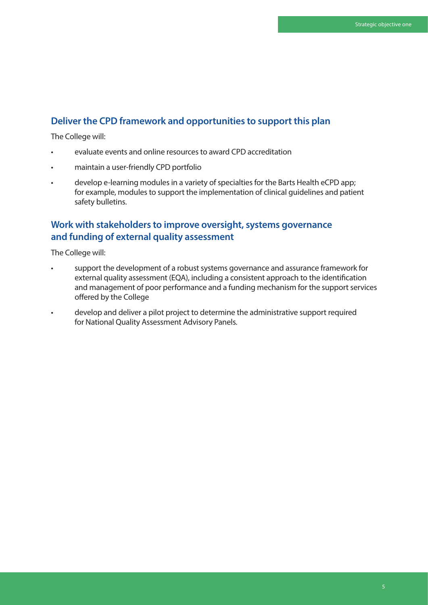## **Deliver the CPD framework and opportunities to support this plan**

The College will:

- evaluate events and online resources to award CPD accreditation
- maintain a user-friendly CPD portfolio
- develop e-learning modules in a variety of specialties for the Barts Health eCPD app; for example, modules to support the implementation of clinical guidelines and patient safety bulletins.

## **Work with stakeholders to improve oversight, systems governance and funding of external quality assessment**

The College will:

- support the development of a robust systems governance and assurance framework for external quality assessment (EQA), including a consistent approach to the identification and management of poor performance and a funding mechanism for the support services offered by the College
- develop and deliver a pilot project to determine the administrative support required for National Quality Assessment Advisory Panels.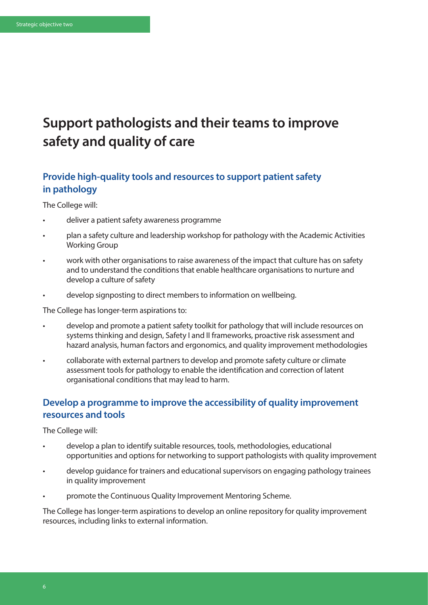# **Support pathologists and their teams to improve safety and quality of care**

## **Provide high-quality tools and resources to support patient safety in pathology**

The College will:

- deliver a patient safety awareness programme
- plan a safety culture and leadership workshop for pathology with the Academic Activities Working Group
- work with other organisations to raise awareness of the impact that culture has on safety and to understand the conditions that enable healthcare organisations to nurture and develop a culture of safety
- develop signposting to direct members to information on wellbeing.

The College has longer-term aspirations to:

- develop and promote a patient safety toolkit for pathology that will include resources on systems thinking and design, Safety I and II frameworks, proactive risk assessment and hazard analysis, human factors and ergonomics, and quality improvement methodologies
- collaborate with external partners to develop and promote safety culture or climate assessment tools for pathology to enable the identification and correction of latent organisational conditions that may lead to harm.

## **Develop a programme to improve the accessibility of quality improvement resources and tools**

The College will:

- develop a plan to identify suitable resources, tools, methodologies, educational opportunities and options for networking to support pathologists with quality improvement
- develop guidance for trainers and educational supervisors on engaging pathology trainees in quality improvement
- promote the Continuous Quality Improvement Mentoring Scheme.

The College has longer-term aspirations to develop an online repository for quality improvement resources, including links to external information.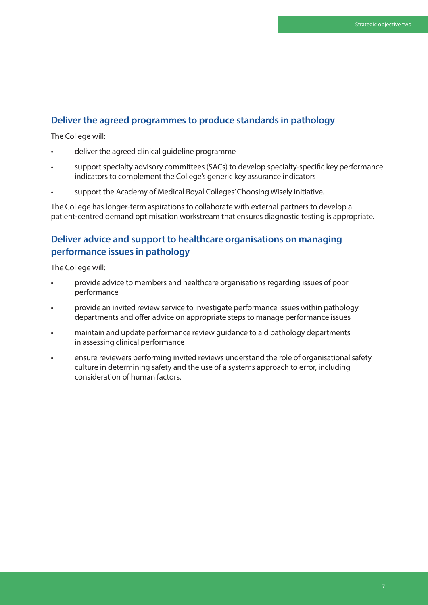#### **Deliver the agreed programmes to produce standards in pathology**

The College will:

- deliver the agreed clinical guideline programme
- support specialty advisory committees (SACs) to develop specialty-specific key performance indicators to complement the College's generic key assurance indicators
- support the Academy of Medical Royal Colleges' Choosing Wisely initiative.

The College has longer-term aspirations to collaborate with external partners to develop a patient-centred demand optimisation workstream that ensures diagnostic testing is appropriate.

#### **Deliver advice and support to healthcare organisations on managing performance issues in pathology**

The College will:

- provide advice to members and healthcare organisations regarding issues of poor performance
- provide an invited review service to investigate performance issues within pathology departments and offer advice on appropriate steps to manage performance issues
- maintain and update performance review guidance to aid pathology departments in assessing clinical performance
- ensure reviewers performing invited reviews understand the role of organisational safety culture in determining safety and the use of a systems approach to error, including consideration of human factors.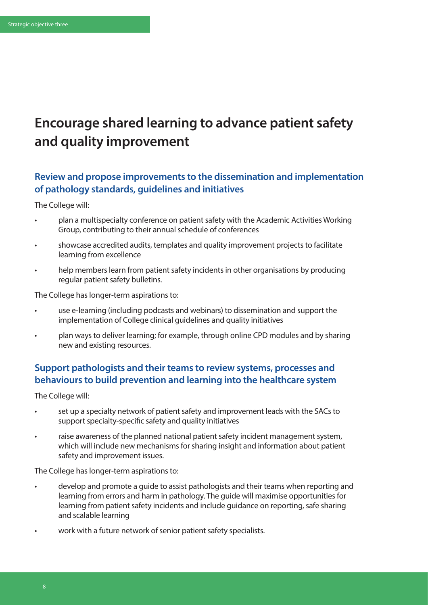# **Encourage shared learning to advance patient safety and quality improvement**

## **Review and propose improvements to the dissemination and implementation of pathology standards, guidelines and initiatives**

The College will:

- plan a multispecialty conference on patient safety with the Academic Activities Working Group, contributing to their annual schedule of conferences
- showcase accredited audits, templates and quality improvement projects to facilitate learning from excellence
- help members learn from patient safety incidents in other organisations by producing regular patient safety bulletins.

The College has longer-term aspirations to:

- use e-learning (including podcasts and webinars) to dissemination and support the implementation of College clinical guidelines and quality initiatives
- plan ways to deliver learning; for example, through online CPD modules and by sharing new and existing resources.

## **Support pathologists and their teams to review systems, processes and behaviours to build prevention and learning into the healthcare system**

The College will:

- set up a specialty network of patient safety and improvement leads with the SACs to support specialty-specific safety and quality initiatives
- raise awareness of the planned national patient safety incident management system, which will include new mechanisms for sharing insight and information about patient safety and improvement issues.

The College has longer-term aspirations to:

- develop and promote a guide to assist pathologists and their teams when reporting and learning from errors and harm in pathology. The guide will maximise opportunities for learning from patient safety incidents and include guidance on reporting, safe sharing and scalable learning
- work with a future network of senior patient safety specialists.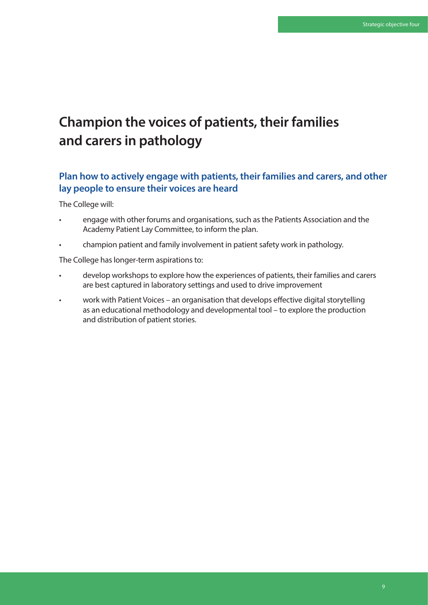# **Champion the voices of patients, their families and carers in pathology**

## **Plan how to actively engage with patients, their families and carers, and other lay people to ensure their voices are heard**

The College will:

- engage with other forums and organisations, such as the Patients Association and the Academy Patient Lay Committee, to inform the plan.
- champion patient and family involvement in patient safety work in pathology.

The College has longer-term aspirations to:

- develop workshops to explore how the experiences of patients, their families and carers are best captured in laboratory settings and used to drive improvement
- work with Patient Voices an organisation that develops effective digital storytelling as an educational methodology and developmental tool – to explore the production and distribution of patient stories.